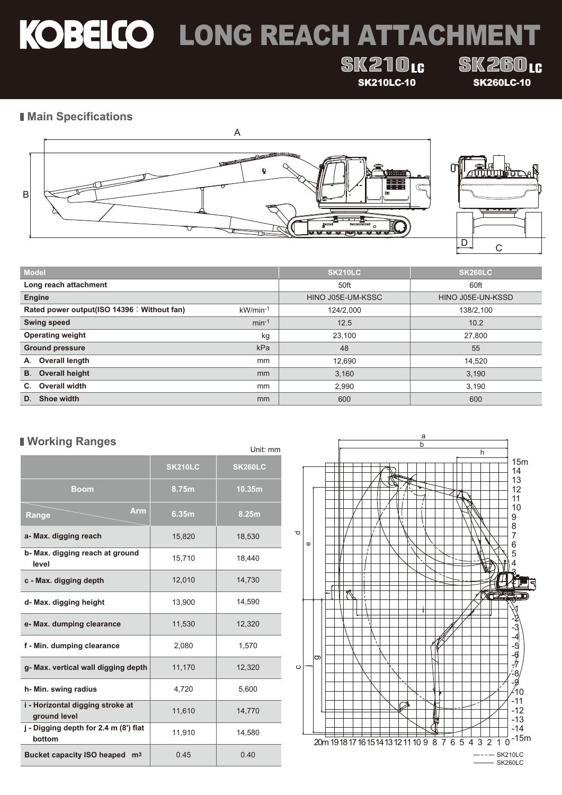# KOBELCO LONG REACH ATTACHMENT

## **SK210tc**

**SK260<sub>16</sub>** SK210LC-10 SK260LC-10

### **Main Specifications**





| <b>Model</b>                                |          | <b>SK210LC</b>    | <b>SK260LC</b>    |
|---------------------------------------------|----------|-------------------|-------------------|
| Long reach attachment                       |          | 50ft              | 60ft              |
| <b>Engine</b>                               |          | HINO J05E-UM-KSSC | HINO J05E-UN-KSSD |
| Rated power output(ISO 14396 : Without fan) | kW/min-1 | 124/2.000         | 138/2,100         |
| <b>Swing speed</b>                          | $min-1$  | 12.5              | 10.2              |
| <b>Operating weight</b>                     | kg       | 23,100            | 27,800            |
| <b>Ground pressure</b>                      | kPa      | 48                | 55                |
| Overall length<br>А.                        | mm       | 12.690            | 14,520            |
| <b>Overall height</b><br><b>B.</b>          | mm       | 3,160             | 3,190             |
| Overall width<br>C.                         | mm       | 2.990             | 3,190             |
| Shoe width<br>D.                            | mm       | 600               | 600               |

### **Working Ranges**

|                                                  |                | Unit: mm       |
|--------------------------------------------------|----------------|----------------|
|                                                  | <b>SK210LC</b> | <b>SK260LC</b> |
| <b>Boom</b>                                      | 8.75m          | 10.35m         |
| Arm<br>Range                                     | 6.35m          | 8.25m          |
| a- Max. digging reach                            | 15,820         | 18,530         |
| b- Max. digging reach at ground<br>level         | 15,710         | 18,440         |
| c - Max. digging depth                           | 12,010         | 14,730         |
| d- Max. digging height                           | 13,900         | 14,590         |
| e- Max. dumping clearance                        | 11,530         | 12,320         |
| f - Min. dumping clearance                       | 2,080          | 1,570          |
| g- Max. vertical wall digging depth              | 11,170         | 12,320         |
| h- Min. swing radius                             | 4,720          | 5,600          |
| i - Horizontal digging stroke at<br>ground level | 11,610         | 14,770         |
| j - Digging depth for 2.4 m (8') flat<br>bottom  | 11,910         | 14,580         |
| Bucket capacity ISO heaped m <sup>3</sup>        | 0.45           | 0.40           |